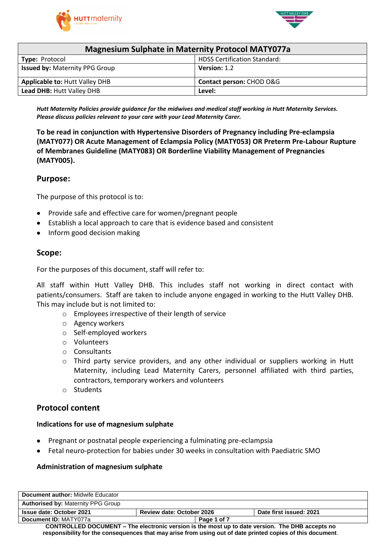



| <b>Magnesium Sulphate in Maternity Protocol MATY077a</b> |                          |  |  |
|----------------------------------------------------------|--------------------------|--|--|
| <b>HDSS Certification Standard:</b><br>Type: Protocol    |                          |  |  |
| <b>Issued by: Maternity PPG Group</b>                    | Version: 1.2             |  |  |
| <b>Applicable to: Hutt Valley DHB</b>                    | Contact person: CHOD O&G |  |  |
| Lead DHB: Hutt Valley DHB<br>Level:                      |                          |  |  |

*Hutt Maternity Policies provide guidance for the midwives and medical staff working in Hutt Maternity Services. Please discuss policies relevant to your care with your Lead Maternity Carer.*

**To be read in conjunction with Hypertensive Disorders of Pregnancy including Pre-eclampsia (MATY077) OR Acute Management of Eclampsia Policy (MATY053) OR Preterm Pre-Labour Rupture of Membranes Guideline (MATY083) OR Borderline Viability Management of Pregnancies (MATY005).**

## **Purpose:**

The purpose of this protocol is to:

- Provide safe and effective care for women/pregnant people
- Establish a local approach to care that is evidence based and consistent
- Inform good decision making

## **Scope:**

For the purposes of this document, staff will refer to:

All staff within Hutt Valley DHB. This includes staff not working in direct contact with patients/consumers. Staff are taken to include anyone engaged in working to the Hutt Valley DHB. This may include but is not limited to:

- o Employees irrespective of their length of service
- o Agency workers
- o Self-employed workers
- o Volunteers
- o Consultants
- o Third party service providers, and any other individual or suppliers working in Hutt Maternity, including Lead Maternity Carers, personnel affiliated with third parties, contractors, temporary workers and volunteers
- o Students

## **Protocol content**

#### **Indications for use of magnesium sulphate**

- Pregnant or postnatal people experiencing a fulminating pre-eclampsia
- Fetal neuro-protection for babies under 30 weeks in consultation with Paediatric SMO

#### **Administration of magnesium sulphate**

| Document author: Midwife Educator                                                                          |                                  |                         |  |
|------------------------------------------------------------------------------------------------------------|----------------------------------|-------------------------|--|
| <b>Authorised by: Maternity PPG Group</b>                                                                  |                                  |                         |  |
| <b>Issue date: October 2021</b>                                                                            | <b>Review date: October 2026</b> | Date first issued: 2021 |  |
| Document ID: MATY077a                                                                                      | Page 1 of 7                      |                         |  |
| <b>CONTROLLED DOCUMENT – The electronic version is the most up to date version. The DHB accepts no</b>     |                                  |                         |  |
| responsibility for the consequences that may arise from using out of date printed copies of this document. |                                  |                         |  |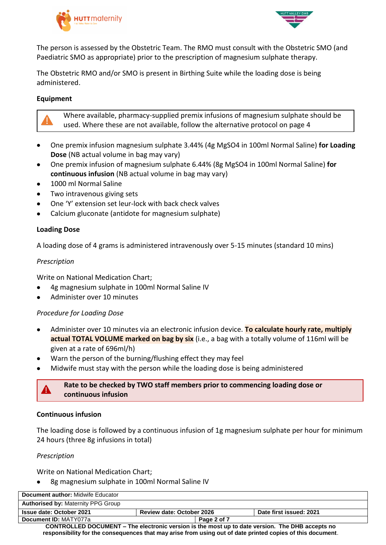



The person is assessed by the Obstetric Team. The RMO must consult with the Obstetric SMO (and Paediatric SMO as appropriate) prior to the prescription of magnesium sulphate therapy.

The Obstetric RMO and/or SMO is present in Birthing Suite while the loading dose is being administered.

### **Equipment**

Where available, pharmacy-supplied premix infusions of magnesium sulphate should be used. Where these are not available, follow the alternative protocol on page 4

- One premix infusion magnesium sulphate 3.44% (4g MgSO4 in 100ml Normal Saline) **for Loading Dose** (NB actual volume in bag may vary)
- One premix infusion of magnesium sulphate 6.44% (8g MgSO4 in 100ml Normal Saline) **for continuous infusion** (NB actual volume in bag may vary)
- 1000 ml Normal Saline
- Two intravenous giving sets
- One 'Y' extension set leur-lock with back check valves
- Calcium gluconate (antidote for magnesium sulphate)

#### **Loading Dose**

A loading dose of 4 grams is administered intravenously over 5-15 minutes (standard 10 mins)

#### *Prescription*

Write on National Medication Chart;

- 4g magnesium sulphate in 100ml Normal Saline IV
- Administer over 10 minutes

#### *Procedure for Loading Dose*

- Administer over 10 minutes via an electronic infusion device. **To calculate hourly rate, multiply**  actual TOTAL VOLUME marked on bag by six (i.e., a bag with a totally volume of 116ml will be given at a rate of 696ml/h)
- Warn the person of the burning/flushing effect they may feel
- Midwife must stay with the person while the loading dose is being administered



**Rate to be checked by TWO staff members prior to commencing loading dose or continuous infusion**

#### **Continuous infusion**

The loading dose is followed by a continuous infusion of 1g magnesium sulphate per hour for minimum 24 hours (three 8g infusions in total)

#### *Prescription*

Write on National Medication Chart;

8g magnesium sulphate in 100ml Normal Saline IV

| <b>Document author:</b> Midwife Educator                                                         |                                  |                         |
|--------------------------------------------------------------------------------------------------|----------------------------------|-------------------------|
| <b>Authorised by: Maternity PPG Group</b>                                                        |                                  |                         |
| <b>Issue date: October 2021</b>                                                                  | <b>Review date: October 2026</b> | Date first issued: 2021 |
| Document ID: MATY077a                                                                            | Page 2 of 7                      |                         |
| CONTROLLED DOCLIMENT – The electronic version is the most un to date version. The DHR accents no |                                  |                         |

**CONTROLLED DOCUMENT – The electronic version is the most up to date version. The DHB accepts no responsibility for the consequences that may arise from using out of date printed copies of this document**.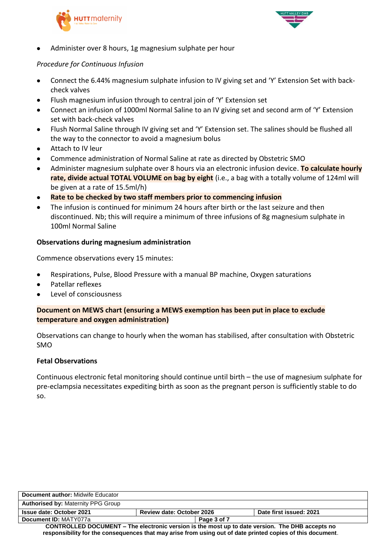



Administer over 8 hours, 1g magnesium sulphate per hour

## *Procedure for Continuous Infusion*

- Connect the 6.44% magnesium sulphate infusion to IV giving set and 'Y' Extension Set with backcheck valves
- Flush magnesium infusion through to central join of 'Y' Extension set
- Connect an infusion of 1000ml Normal Saline to an IV giving set and second arm of 'Y' Extension set with back-check valves
- Flush Normal Saline through IV giving set and 'Y' Extension set. The salines should be flushed all the way to the connector to avoid a magnesium bolus
- Attach to IV leur
- Commence administration of Normal Saline at rate as directed by Obstetric SMO
- Administer magnesium sulphate over 8 hours via an electronic infusion device. **To calculate hourly rate, divide actual TOTAL VOLUME on bag by eight** (i.e., a bag with a totally volume of 124ml will be given at a rate of 15.5ml/h)
- **Rate to be checked by two staff members prior to commencing infusion**
- The infusion is continued for minimum 24 hours after birth or the last seizure and then discontinued. Nb; this will require a minimum of three infusions of 8g magnesium sulphate in 100ml Normal Saline

### **Observations during magnesium administration**

Commence observations every 15 minutes:

- Respirations, Pulse, Blood Pressure with a manual BP machine, Oxygen saturations
- Patellar reflexes
- Level of consciousness

### **Document on MEWS chart (ensuring a MEWS exemption has been put in place to exclude temperature and oxygen administration)**

Observations can change to hourly when the woman has stabilised, after consultation with Obstetric SMO

#### **Fetal Observations**

Continuous electronic fetal monitoring should continue until birth – the use of magnesium sulphate for pre-eclampsia necessitates expediting birth as soon as the pregnant person is sufficiently stable to do so.

| <b>Document author: Midwife Educator</b>                                                                   |                                  |  |                         |
|------------------------------------------------------------------------------------------------------------|----------------------------------|--|-------------------------|
| <b>Authorised by: Maternity PPG Group</b>                                                                  |                                  |  |                         |
| <b>Issue date: October 2021</b>                                                                            | <b>Review date: October 2026</b> |  | Date first issued: 2021 |
| Document ID: MATY077a                                                                                      | Page 3 of 7                      |  |                         |
| <b>CONTROLLED DOCUMENT – The electronic version is the most up to date version. The DHB accepts no</b>     |                                  |  |                         |
| responsibility for the consequences that may arise from using out of date printed copies of this document. |                                  |  |                         |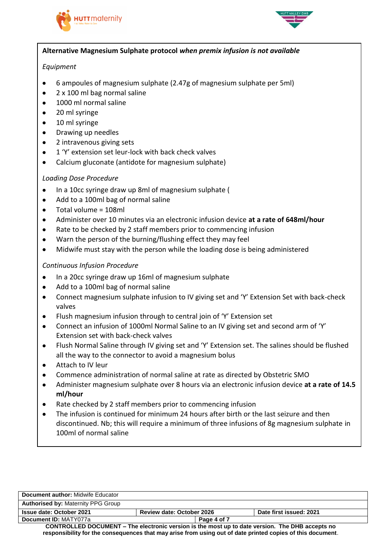



## **Alternative Magnesium Sulphate protocol** *when premix infusion is not available*

## *Equipment*

- 6 ampoules of magnesium sulphate (2.47g of magnesium sulphate per 5ml)
- 2 x 100 ml bag normal saline
- 1000 ml normal saline
- 20 ml syringe
- 10 ml syringe
- Drawing up needles
- 2 intravenous giving sets
- 1 'Y' extension set leur-lock with back check valves
- Calcium gluconate (antidote for magnesium sulphate)

# *Loading Dose Procedure*

- In a 10cc syringe draw up 8ml of magnesium sulphate (
- Add to a 100ml bag of normal saline
- $\bullet$  Total volume = 108ml
- Administer over 10 minutes via an electronic infusion device **at a rate of 648ml/hour**
- Rate to be checked by 2 staff members prior to commencing infusion
- Warn the person of the burning/flushing effect they may feel
- Midwife must stay with the person while the loading dose is being administered

# *Continuous Infusion Procedure*

- In a 20cc syringe draw up 16ml of magnesium sulphate
- Add to a 100ml bag of normal saline
- Connect magnesium sulphate infusion to IV giving set and 'Y' Extension Set with back-check valves
- Flush magnesium infusion through to central join of 'Y' Extension set
- Connect an infusion of 1000ml Normal Saline to an IV giving set and second arm of 'Y' Extension set with back-check valves
- Flush Normal Saline through IV giving set and 'Y' Extension set. The salines should be flushed all the way to the connector to avoid a magnesium bolus
- Attach to IV leur
- Commence administration of normal saline at rate as directed by Obstetric SMO
- Administer magnesium sulphate over 8 hours via an electronic infusion device **at a rate of 14.5 ml/hour**
- Rate checked by 2 staff members prior to commencing infusion
- The infusion is continued for minimum 24 hours after birth or the last seizure and then discontinued. Nb; this will require a minimum of three infusions of 8g magnesium sulphate in 100ml of normal saline

| <b>Document author: Midwife Educator</b>                                                                   |                                  |  |                         |
|------------------------------------------------------------------------------------------------------------|----------------------------------|--|-------------------------|
| <b>Authorised by: Maternity PPG Group</b>                                                                  |                                  |  |                         |
| <b>Issue date: October 2021</b>                                                                            | <b>Review date: October 2026</b> |  | Date first issued: 2021 |
| Document ID: MATY077a                                                                                      | Page 4 of 7                      |  |                         |
| <b>CONTROLLED DOCUMENT – The electronic version is the most up to date version. The DHB accepts no</b>     |                                  |  |                         |
| responsibility for the consequences that may arise from using out of date printed copies of this document. |                                  |  |                         |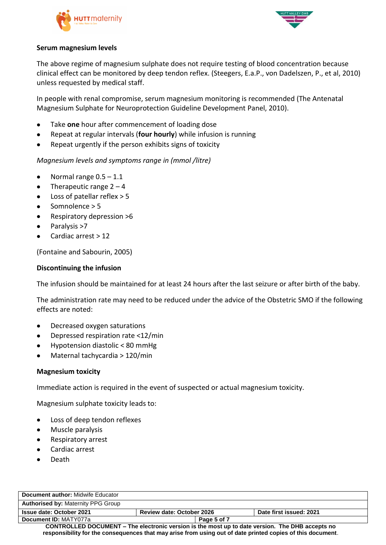



#### **Serum magnesium levels**

The above regime of magnesium sulphate does not require testing of blood concentration because clinical effect can be monitored by deep tendon reflex. (Steegers, E.a.P., von Dadelszen, P., et al, 2010) unless requested by medical staff.

In people with renal compromise, serum magnesium monitoring is recommended (The Antenatal Magnesium Sulphate for Neuroprotection Guideline Development Panel, 2010).

- Take **one** hour after commencement of loading dose
- Repeat at regular intervals (**four hourly**) while infusion is running
- Repeat urgently if the person exhibits signs of toxicity

*Magnesium levels and symptoms range in (mmol /litre)*

- Normal range  $0.5 1.1$
- Therapeutic range  $2 4$
- Loss of patellar reflex > 5
- Somnolence > 5
- Respiratory depression >6
- Paralysis >7
- Cardiac arrest > 12

(Fontaine and Sabourin, 2005)

#### **Discontinuing the infusion**

The infusion should be maintained for at least 24 hours after the last seizure or after birth of the baby.

The administration rate may need to be reduced under the advice of the Obstetric SMO if the following effects are noted:

- Decreased oxygen saturations
- Depressed respiration rate <12/min
- Hypotension diastolic < 80 mmHg
- Maternal tachycardia > 120/min

#### **Magnesium toxicity**

Immediate action is required in the event of suspected or actual magnesium toxicity.

Magnesium sulphate toxicity leads to:

- Loss of deep tendon reflexes
- Muscle paralysis
- Respiratory arrest
- Cardiac arrest
- Death

| <b>Document author: Midwife Educator</b>                                                        |                                  |             |                         |
|-------------------------------------------------------------------------------------------------|----------------------------------|-------------|-------------------------|
| <b>Authorised by: Maternity PPG Group</b>                                                       |                                  |             |                         |
| <b>Issue date: October 2021</b>                                                                 | <b>Review date: October 2026</b> |             | Date first issued: 2021 |
| Document ID: MATY077a                                                                           |                                  | Page 5 of 7 |                         |
| CONTROLLED DOCUMENT – The electronic version is the most up to date version. The DHB accepts no |                                  |             |                         |

**responsibility for the consequences that may arise from using out of date printed copies of this document**.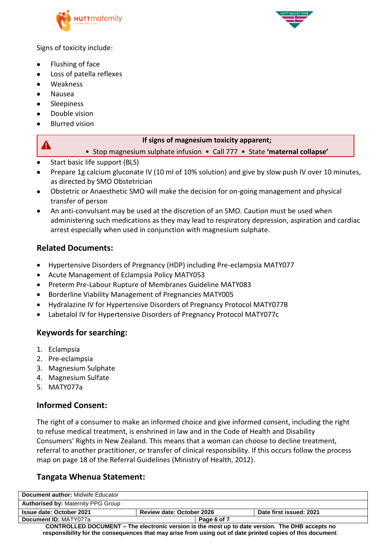



Signs of toxicity include:

- Flushing of face
- Loss of patella reflexes
- Weakness
- Nausea

 $\blacktriangle$ 

- Sleepiness
- Double vision
- Blurred vision

#### **If signs of magnesium toxicity apparent;**

• Stop magnesium sulphate infusion • Call 777 • State **'maternal collapse'**

- Start basic life support (BLS)
- Prepare 1g calcium gluconate IV (10 ml of 10% solution) and give by slow push IV over 10 minutes, as directed by SMO Obstetrician
- Obstetric or Anaesthetic SMO will make the decision for on-going management and physical transfer of person
- An anti-convulsant may be used at the discretion of an SMO. Caution must be used when administering such medications as they may lead to respiratory depression, aspiration and cardiac arrest especially when used in conjunction with magnesium sulphate.

# **Related Documents:**

- Hypertensive Disorders of Pregnancy (HDP) including Pre-eclampsia MATY077
- Acute Management of Eclampsia Policy MATY053
- Preterm Pre-Labour Rupture of Membranes Guideline MATY083
- Borderline Viability Management of Pregnancies MATY005
- Hydralazine IV for Hypertensive Disorders of Pregnancy Protocol MATY077B
- Labetalol IV for Hypertensive Disorders of Pregnancy Protocol MATY077c

## **Keywords for searching:**

- 1. Eclampsia
- 2. Pre-eclampsia
- 3. Magnesium Sulphate
- 4. Magnesium Sulfate
- 5. MATY077a

# **Informed Consent:**

The right of a consumer to make an informed choice and give informed consent, including the right to refuse medical treatment, is enshrined in law and in the Code of Health and Disability Consumers' Rights in New Zealand. This means that a woman can choose to decline treatment, referral to another practitioner, or transfer of clinical responsibility. If this occurs follow the process map on page 18 of the Referral Guidelines (Ministry of Health, 2012).

## **Tangata Whenua Statement:**

| Document author: Midwife Educator                                                               |                                  |                         |
|-------------------------------------------------------------------------------------------------|----------------------------------|-------------------------|
| <b>Authorised by: Maternity PPG Group</b>                                                       |                                  |                         |
| <b>Issue date: October 2021</b>                                                                 | <b>Review date: October 2026</b> | Date first issued: 2021 |
| Document ID: MATY077a                                                                           | Page 6 of 7                      |                         |
| CONTROLLED DOCUMENT – The electronic version is the most up to date version. The DHB accepts no |                                  |                         |

**responsibility for the consequences that may arise from using out of date printed copies of this document**.